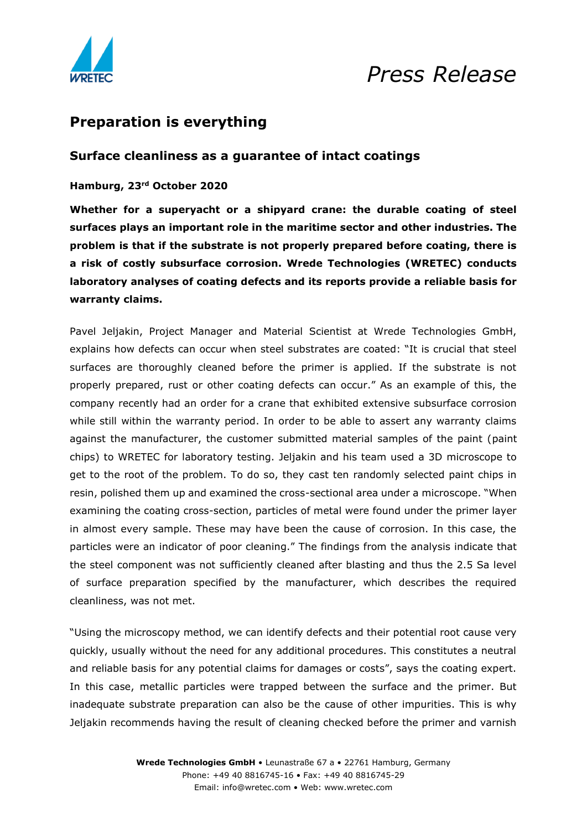

### *Press Release*

### **Preparation is everything**

### **Surface cleanliness as a guarantee of intact coatings**

#### **Hamburg, 23rd October 2020**

**Whether for a superyacht or a shipyard crane: the durable coating of steel surfaces plays an important role in the maritime sector and other industries. The problem is that if the substrate is not properly prepared before coating, there is a risk of costly subsurface corrosion. Wrede Technologies (WRETEC) conducts laboratory analyses of coating defects and its reports provide a reliable basis for warranty claims.** 

Pavel Jeljakin, Project Manager and Material Scientist at Wrede Technologies GmbH, explains how defects can occur when steel substrates are coated: "It is crucial that steel surfaces are thoroughly cleaned before the primer is applied. If the substrate is not properly prepared, rust or other coating defects can occur." As an example of this, the company recently had an order for a crane that exhibited extensive subsurface corrosion while still within the warranty period. In order to be able to assert any warranty claims against the manufacturer, the customer submitted material samples of the paint (paint chips) to WRETEC for laboratory testing. Jeljakin and his team used a 3D microscope to get to the root of the problem. To do so, they cast ten randomly selected paint chips in resin, polished them up and examined the cross-sectional area under a microscope. "When examining the coating cross-section, particles of metal were found under the primer layer in almost every sample. These may have been the cause of corrosion. In this case, the particles were an indicator of poor cleaning." The findings from the analysis indicate that the steel component was not sufficiently cleaned after blasting and thus the 2.5 Sa level of surface preparation specified by the manufacturer, which describes the required cleanliness, was not met.

"Using the microscopy method, we can identify defects and their potential root cause very quickly, usually without the need for any additional procedures. This constitutes a neutral and reliable basis for any potential claims for damages or costs", says the coating expert. In this case, metallic particles were trapped between the surface and the primer. But inadequate substrate preparation can also be the cause of other impurities. This is why Jeljakin recommends having the result of cleaning checked before the primer and varnish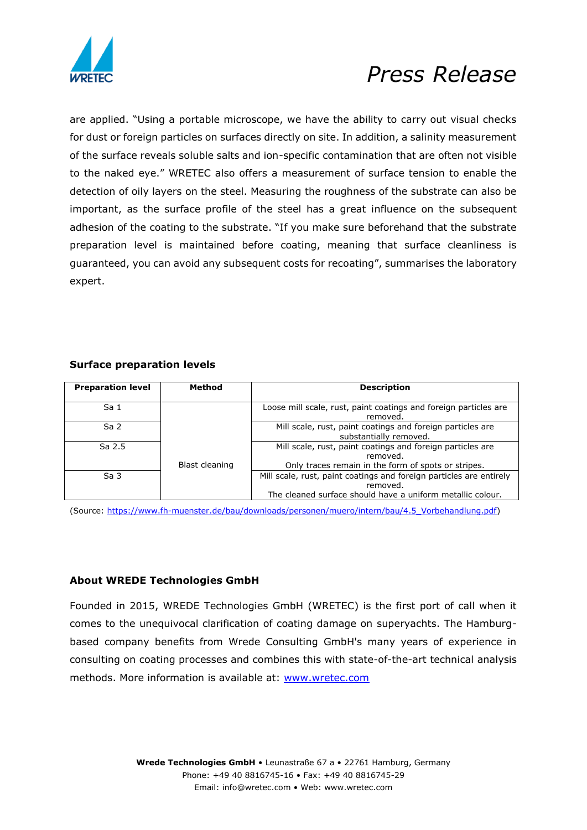

# *Press Release*

are applied. "Using a portable microscope, we have the ability to carry out visual checks for dust or foreign particles on surfaces directly on site. In addition, a salinity measurement of the surface reveals soluble salts and ion-specific contamination that are often not visible to the naked eye." WRETEC also offers a measurement of surface tension to enable the detection of oily layers on the steel. Measuring the roughness of the substrate can also be important, as the surface profile of the steel has a great influence on the subsequent adhesion of the coating to the substrate. "If you make sure beforehand that the substrate preparation level is maintained before coating, meaning that surface cleanliness is guaranteed, you can avoid any subsequent costs for recoating", summarises the laboratory expert.

### **Surface preparation levels**

| <b>Preparation level</b> | Method         | <b>Description</b>                                                                   |
|--------------------------|----------------|--------------------------------------------------------------------------------------|
| Sa 1                     |                | Loose mill scale, rust, paint coatings and foreign particles are<br>removed.         |
| Sa 2                     |                | Mill scale, rust, paint coatings and foreign particles are<br>substantially removed. |
| Sa 2.5                   |                | Mill scale, rust, paint coatings and foreign particles are<br>removed.               |
|                          | Blast cleaning | Only traces remain in the form of spots or stripes.                                  |
| Sa 3                     |                | Mill scale, rust, paint coatings and foreign particles are entirely<br>removed.      |
|                          |                | The cleaned surface should have a uniform metallic colour.                           |

(Source: [https://www.fh-muenster.de/bau/downloads/personen/muero/intern/bau/4.5\\_Vorbehandlung.pdf\)](https://www.fh-muenster.de/bau/downloads/personen/muero/intern/bau/4.5_Vorbehandlung.pdf)

#### **About WREDE Technologies GmbH**

Founded in 2015, WREDE Technologies GmbH (WRETEC) is the first port of call when it comes to the unequivocal clarification of coating damage on superyachts. The Hamburgbased company benefits from Wrede Consulting GmbH's many years of experience in consulting on coating processes and combines this with state-of-the-art technical analysis methods. More information is available at: [www.wretec.com](https://www.wretec.com/)